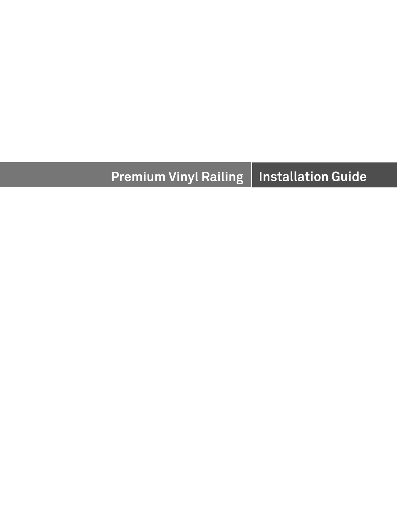#### **Premium Vinyl Railing Installation Guide**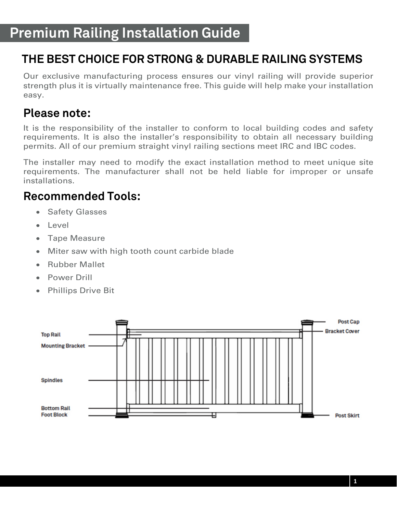### **THE BEST CHOICE FOR STRONG & DURABLE RAILING SYSTEMS**

Our exclusive manufacturing process ensures our vinyl railing will provide superior strength plus it is virtually maintenance free. This guide will help make your installation easy.

#### **Please note:**

It is the responsibility of the installer to conform to local building codes and safety requirements. It is also the installer's responsibility to obtain all necessary building permits. All of our premium straight vinyl railing sections meet IRC and IBC codes.

The installer may need to modify the exact installation method to meet unique site requirements. The manufacturer shall not be held liable for improper or unsafe installations.

#### **Recommended Tools:**

- Safety Glasses
- Level
- Tape Measure
- Miter saw with high tooth count carbide blade
- Rubber Mallet
- Power Drill
- Phillips Drive Bit

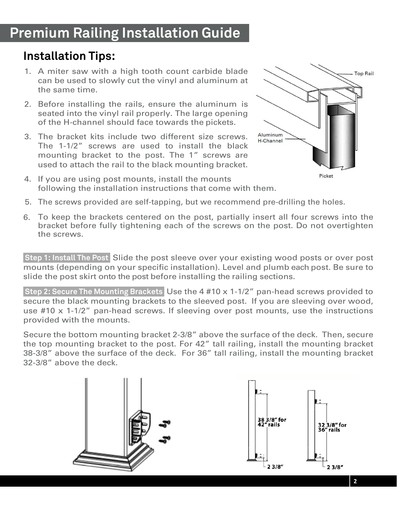# **Premium Railing Installation Guide**

### **Installation Tips:**

l

- 1. A miter saw with a high tooth count carbide blade can be used to slowly cut the vinyl and aluminum at the same time.
- 2. Before installing the rails, ensure the aluminum is seated into the vinyl rail properly. The large opening of the H-channel should face towards the pickets.
- 3. The bracket kits include two different size screws. The 1-1/2" screws are used to install the black mounting bracket to the post. The 1" screws are used to attach the rail to the black mounting bracket.



- 4. If you are using post mounts, install the mounts following the installation instructions that come with them.
- 5. The screws provided are self-tapping, but we recommend pre-drilling the holes.
- 6. To keep the brackets centered on the post, partially insert all four screws into the bracket before fully tightening each of the screws on the post. Do not overtighten the screws.

 **Step 1: Install The Post** Slide the post sleeve over your existing wood posts or over post mounts (depending on your specific installation). Level and plumb each post. Be sure to slide the post skirt onto the post before installing the railing sections.

 **Step 2: Secure The Mounting Brackets** Use the 4 #10 x 1-1/2" pan-head screws provided to secure the black mounting brackets to the sleeved post. If you are sleeving over wood, use #10 x 1-1/2" pan-head screws. If sleeving over post mounts, use the instructions provided with the mounts.

Secure the bottom mounting bracket 2-3/8" above the surface of the deck. Then, secure the top mounting bracket to the post. For 42" tall railing, install the mounting bracket 38-3/8" above the surface of the deck. For 36" tall railing, install the mounting bracket 32-3/8" above the deck.

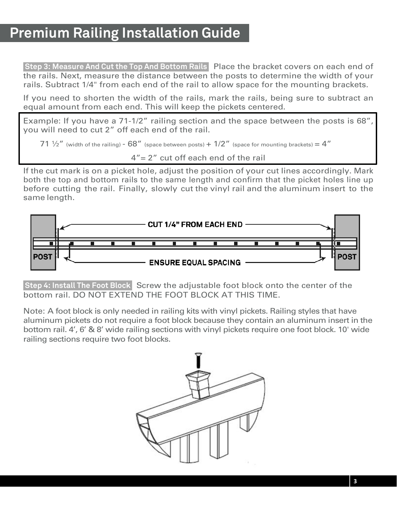# **Premium Railing Installation Guide**

**Step 3: Measure And Cut the Top And Bottom Rails** Place the bracket covers on each end of the rails. Next, measure the distance between the posts to determine the width of your rails. Subtract 1/4" from each end of the rail to allow space for the mounting brackets.

If you need to shorten the width of the rails, mark the rails, being sure to subtract an equal amount from each end. This will keep the pickets centered.

Example: If you have a 71-1/2" railing section and the space between the posts is 68", you will need to cut 2" off each end of the rail.

71  $\frac{1}{2}$ " (width of the railing) - 68" (space between posts) + 1/2" (space for mounting brackets) = 4"

4"= 2" cut off each end of the rail

If the cut mark is on a picket hole, adjust the position of your cut lines accordingly. Mark both the top and bottom rails to the same length and confirm that the picket holes line up before cutting the rail. Finally, slowly cut the vinyl rail and the aluminum insert to the same length.



**Step 4: Install The Foot Block** Screw the adjustable foot block onto the center of the bottom rail. DO NOT EXTEND THE FOOT BLOCK AT THIS TIME.

Note: A foot block is only needed in railing kits with vinyl pickets. Railing styles that have aluminum pickets do not require a foot block because they contain an aluminum insert in the bottom rail. 4', 6' & 8' wide railing sections with vinyl pickets require one foot block. 10' wide railing sections require two foot blocks.